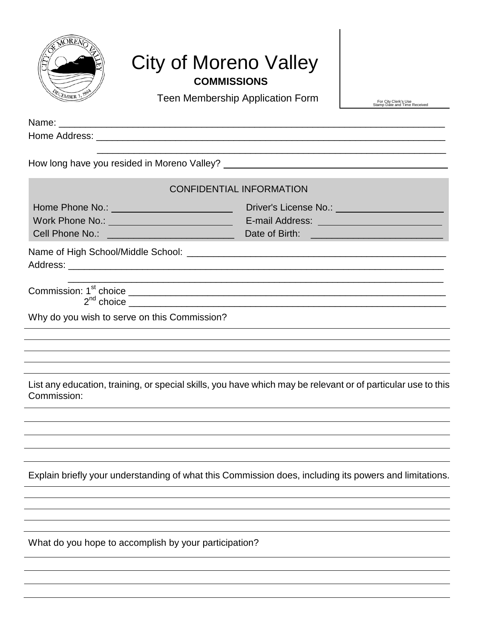

## City of Moreno Valley **COMMISSIONS**

Teen Membership Application Form **Integral of the Received Stamp Date and Time Received** 

| Name:                                                                                        |                                                                                                                       |
|----------------------------------------------------------------------------------------------|-----------------------------------------------------------------------------------------------------------------------|
|                                                                                              |                                                                                                                       |
|                                                                                              | How long have you resided in Moreno Valley?                                                                           |
|                                                                                              | <b>CONFIDENTIAL INFORMATION</b>                                                                                       |
| Home Phone No.: ___________________________<br>Cell Phone No.: _____________________________ |                                                                                                                       |
|                                                                                              |                                                                                                                       |
|                                                                                              | <u> 1989 - John Harry Harry Harry Harry Harry Harry Harry Harry Harry Harry Harry Harry Harry Harry Harry Harry H</u> |
| Why do you wish to serve on this Commission?                                                 |                                                                                                                       |
|                                                                                              |                                                                                                                       |
|                                                                                              |                                                                                                                       |
| Commission:                                                                                  | List any education, training, or special skills, you have which may be relevant or of particular use to this          |
|                                                                                              |                                                                                                                       |
|                                                                                              | ,我们也不会有什么。""我们的人,我们也不会有什么?""我们的人,我们也不会有什么?""我们的人,我们也不会有什么?""我们的人,我们也不会有什么?""我们的人                                      |
|                                                                                              |                                                                                                                       |
|                                                                                              | Explain briefly your understanding of what this Commission does, including its powers and limitations.                |
|                                                                                              |                                                                                                                       |
|                                                                                              |                                                                                                                       |
| What do you hope to accomplish by your participation?                                        |                                                                                                                       |
|                                                                                              |                                                                                                                       |